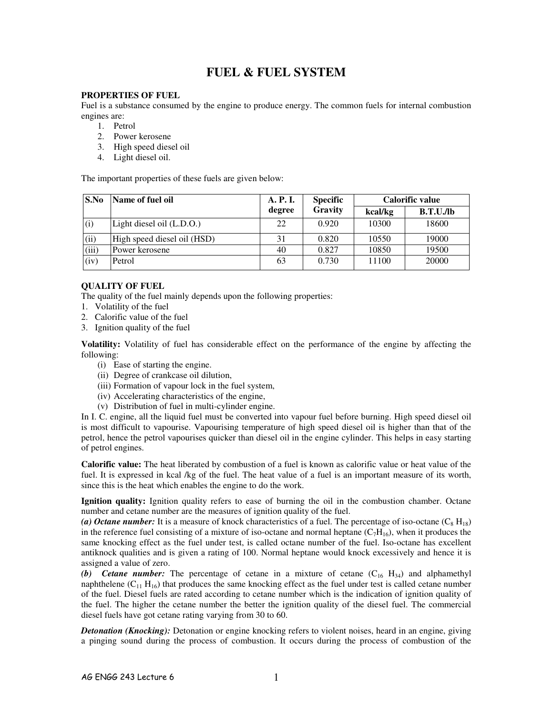# **FUEL & FUEL SYSTEM**

# **PROPERTIES OF FUEL**

Fuel is a substance consumed by the engine to produce energy. The common fuels for internal combustion engines are:

- 1. Petrol
- 2. Power kerosene
- 3. High speed diesel oil
- 4. Light diesel oil.

The important properties of these fuels are given below:

| S.No  | Name of fuel oil            | A. P. I. | <b>Specific</b> | Calorific value |          |
|-------|-----------------------------|----------|-----------------|-----------------|----------|
|       |                             | degree   | Gravity         | kcal/kg         | B.T.U.Jb |
| (i)   | Light diesel oil (L.D.O.)   | 22       | 0.920           | 10300           | 18600    |
| (ii)  | High speed diesel oil (HSD) | 31       | 0.820           | 10550           | 19000    |
| (iii) | Power kerosene              | 40       | 0.827           | 10850           | 19500    |
| (iv)  | Petrol                      | 63       | 0.730           | 11100           | 20000    |

# **QUALITY OF FUEL**

The quality of the fuel mainly depends upon the following properties:

- 1. Volatility of the fuel
- 2. Calorific value of the fuel
- 3. Ignition quality of the fuel

**Volatility:** Volatility of fuel has considerable effect on the performance of the engine by affecting the following:

- (i) Ease of starting the engine.
- (ii) Degree of crankcase oil dilution,
- (iii) Formation of vapour lock in the fuel system,
- (iv) Accelerating characteristics of the engine,
- (v) Distribution of fuel in multi-cylinder engine.

In I. C. engine, all the liquid fuel must be converted into vapour fuel before burning. High speed diesel oil is most difficult to vapourise. Vapourising temperature of high speed diesel oil is higher than that of the petrol, hence the petrol vapourises quicker than diesel oil in the engine cylinder. This helps in easy starting of petrol engines.

**Calorific value:** The heat liberated by combustion of a fuel is known as calorific value or heat value of the fuel. It is expressed in kcal /kg of the fuel. The heat value of a fuel is an important measure of its worth, since this is the heat which enables the engine to do the work.

**Ignition quality:** Ignition quality refers to ease of burning the oil in the combustion chamber. Octane number and cetane number are the measures of ignition quality of the fuel.

(a) Octane number: It is a measure of knock characteristics of a fuel. The percentage of iso-octane  $(C_8 H_{18})$ in the reference fuel consisting of a mixture of iso-octane and normal heptane  $(C_7H_{16})$ , when it produces the same knocking effect as the fuel under test, is called octane number of the fuel. Iso-octane has excellent antiknock qualities and is given a rating of 100. Normal heptane would knock excessively and hence it is assigned a value of zero.

**(b)** Cetane number: The percentage of cetane in a mixture of cetane  $(C_{16} H_{34})$  and alphamethyl naphthelene  $(C_{11} H_{16})$  that produces the same knocking effect as the fuel under test is called cetane number of the fuel. Diesel fuels are rated according to cetane number which is the indication of ignition quality of the fuel. The higher the cetane number the better the ignition quality of the diesel fuel. The commercial diesel fuels have got cetane rating varying from 30 to 60.

*Detonation (Knocking):* Detonation or engine knocking refers to violent noises, heard in an engine, giving a pinging sound during the process of combustion. It occurs during the process of combustion of the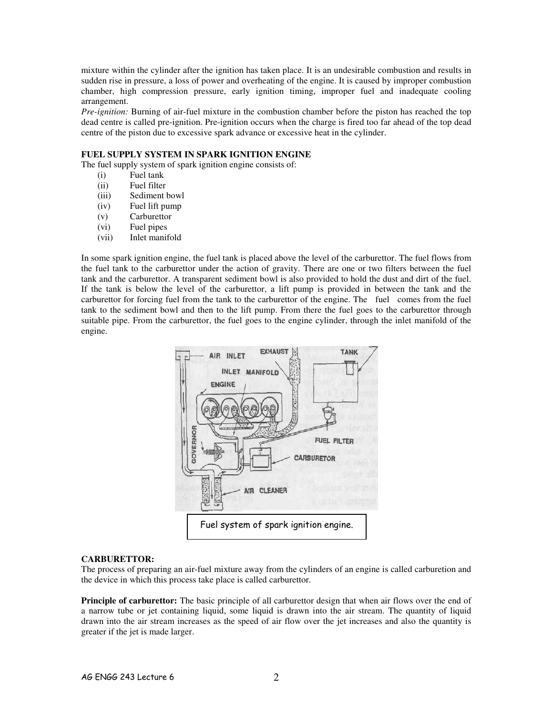mixture within the cylinder after the ignition has taken place. It is an undesirable combustion and results in sudden rise in pressure, a loss of power and overheating of the engine. It is caused by improper combustion chamber, high compression pressure, early ignition timing, improper fuel and inadequate cooling arrangement.

*Pre-ignition:* Burning of air-fuel mixture in the combustion chamber before the piston has reached the top dead centre is called pre-ignition. Pre-ignition occurs when the charge is fired too far ahead of the top dead centre of the piston due to excessive spark advance or excessive heat in the cylinder.

# **FUEL SUPPLY SYSTEM IN SPARK IGNITION ENGINE**

The fuel supply system of spark ignition engine consists of:

- (i) Fuel tank
- (ii) Fuel filter
- (iii) Sediment bowl
- (iv) Fuel lift pump
- (v) Carburettor
- (vi) Fuel pipes
- (vii) Inlet manifold

In some spark ignition engine, the fuel tank is placed above the level of the carburettor. The fuel flows from the fuel tank to the carburettor under the action of gravity. There are one or two filters between the fuel tank and the carburettor. A transparent sediment bowl is also provided to hold the dust and dirt of the fuel. If the tank is below the level of the carburettor, a lift pump is provided in between the tank and the carburettor for forcing fuel from the tank to the carburettor of the engine. The fuel comes from the fuel tank to the sediment bowl and then to the lift pump. From there the fuel goes to the carburettor through suitable pipe. From the carburettor, the fuel goes to the engine cylinder, through the inlet manifold of the engine.



# **CARBURETTOR:**

The process of preparing an air-fuel mixture away from the cylinders of an engine is called carburetion and the device in which this process take place is called carburettor.

**Principle of carburettor:** The basic principle of all carburettor design that when air flows over the end of a narrow tube or jet containing liquid, some liquid is drawn into the air stream. The quantity of liquid drawn into the air stream increases as the speed of air flow over the jet increases and also the quantity is greater if the jet is made larger.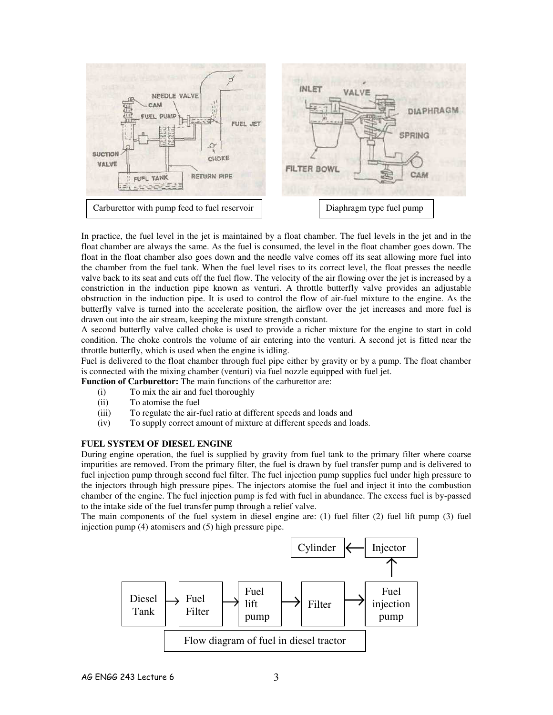

In practice, the fuel level in the jet is maintained by a float chamber. The fuel levels in the jet and in the float chamber are always the same. As the fuel is consumed, the level in the float chamber goes down. The float in the float chamber also goes down and the needle valve comes off its seat allowing more fuel into the chamber from the fuel tank. When the fuel level rises to its correct level, the float presses the needle valve back to its seat and cuts off the fuel flow. The velocity of the air flowing over the jet is increased by a constriction in the induction pipe known as venturi. A throttle butterfly valve provides an adjustable obstruction in the induction pipe. It is used to control the flow of air-fuel mixture to the engine. As the butterfly valve is turned into the accelerate position, the airflow over the jet increases and more fuel is drawn out into the air stream, keeping the mixture strength constant.

A second butterfly valve called choke is used to provide a richer mixture for the engine to start in cold condition. The choke controls the volume of air entering into the venturi. A second jet is fitted near the throttle butterfly, which is used when the engine is idling.

Fuel is delivered to the float chamber through fuel pipe either by gravity or by a pump. The float chamber is connected with the mixing chamber (venturi) via fuel nozzle equipped with fuel jet.

**Function of Carburettor:** The main functions of the carburettor are:

- (i) To mix the air and fuel thoroughly
- (ii) To atomise the fuel
- (iii) To regulate the air-fuel ratio at different speeds and loads and
- (iv) To supply correct amount of mixture at different speeds and loads.

## **FUEL SYSTEM OF DIESEL ENGINE**

During engine operation, the fuel is supplied by gravity from fuel tank to the primary filter where coarse impurities are removed. From the primary filter, the fuel is drawn by fuel transfer pump and is delivered to fuel injection pump through second fuel filter. The fuel injection pump supplies fuel under high pressure to the injectors through high pressure pipes. The injectors atomise the fuel and inject it into the combustion chamber of the engine. The fuel injection pump is fed with fuel in abundance. The excess fuel is by-passed to the intake side of the fuel transfer pump through a relief valve.

The main components of the fuel system in diesel engine are: (1) fuel filter (2) fuel lift pump (3) fuel injection pump (4) atomisers and (5) high pressure pipe.

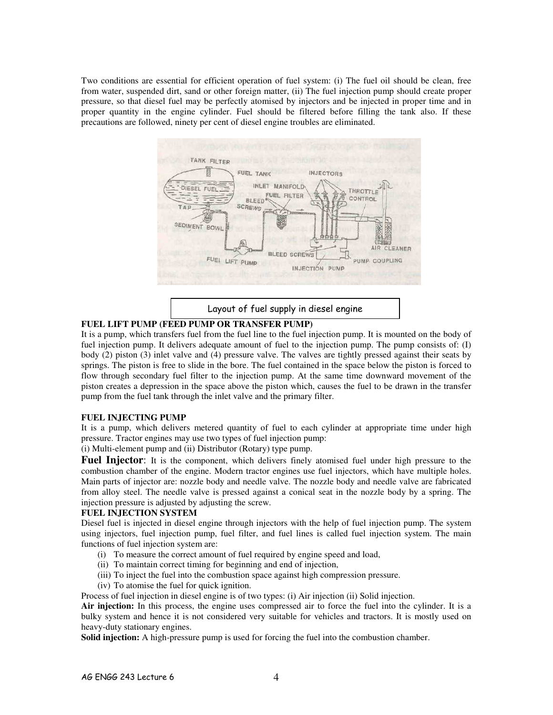Two conditions are essential for efficient operation of fuel system: (i) The fuel oil should be clean, free from water, suspended dirt, sand or other foreign matter, (ii) The fuel injection pump should create proper pressure, so that diesel fuel may be perfectly atomised by injectors and be injected in proper time and in proper quantity in the engine cylinder. Fuel should be filtered before filling the tank also. If these precautions are followed, ninety per cent of diesel engine troubles are eliminated.



Layout of fuel supply in diesel engine

# **FUEL LIFT PUMP (FEED PUMP OR TRANSFER PUMP)**

It is a pump, which transfers fuel from the fuel line to the fuel injection pump. It is mounted on the body of fuel injection pump. It delivers adequate amount of fuel to the injection pump. The pump consists of: (I) body (2) piston (3) inlet valve and (4) pressure valve. The valves are tightly pressed against their seats by springs. The piston is free to slide in the bore. The fuel contained in the space below the piston is forced to flow through secondary fuel filter to the injection pump. At the same time downward movement of the piston creates a depression in the space above the piston which, causes the fuel to be drawn in the transfer pump from the fuel tank through the inlet valve and the primary filter.

### **FUEL INJECTING PUMP**

It is a pump, which delivers metered quantity of fuel to each cylinder at appropriate time under high pressure. Tractor engines may use two types of fuel injection pump:

(i) Multi-element pump and (ii) Distributor (Rotary) type pump.

**Fuel Injector**: It is the component, which delivers finely atomised fuel under high pressure to the combustion chamber of the engine. Modern tractor engines use fuel injectors, which have multiple holes. Main parts of injector are: nozzle body and needle valve. The nozzle body and needle valve are fabricated from alloy steel. The needle valve is pressed against a conical seat in the nozzle body by a spring. The injection pressure is adjusted by adjusting the screw.

### **FUEL INJECTION SYSTEM**

Diesel fuel is injected in diesel engine through injectors with the help of fuel injection pump. The system using injectors, fuel injection pump, fuel filter, and fuel lines is called fuel injection system. The main functions of fuel injection system are:

- (i) To measure the correct amount of fuel required by engine speed and load,
- (ii) To maintain correct timing for beginning and end of injection,
- (iii) To inject the fuel into the combustion space against high compression pressure.
- (iv) To atomise the fuel for quick ignition.

Process of fuel injection in diesel engine is of two types: (i) Air injection (ii) Solid injection.

**Air injection:** In this process, the engine uses compressed air to force the fuel into the cylinder. It is a bulky system and hence it is not considered very suitable for vehicles and tractors. It is mostly used on heavy-duty stationary engines.

**Solid injection:** A high-pressure pump is used for forcing the fuel into the combustion chamber.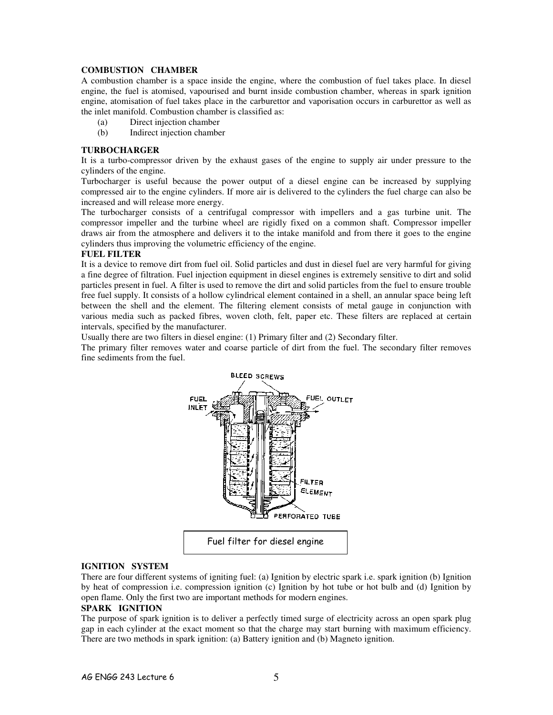## **COMBUSTION CHAMBER**

A combustion chamber is a space inside the engine, where the combustion of fuel takes place. In diesel engine, the fuel is atomised, vapourised and burnt inside combustion chamber, whereas in spark ignition engine, atomisation of fuel takes place in the carburettor and vaporisation occurs in carburettor as well as the inlet manifold. Combustion chamber is classified as:

- (a) Direct injection chamber
- (b) Indirect injection chamber

#### **TURBOCHARGER**

It is a turbo-compressor driven by the exhaust gases of the engine to supply air under pressure to the cylinders of the engine.

Turbocharger is useful because the power output of a diesel engine can be increased by supplying compressed air to the engine cylinders. If more air is delivered to the cylinders the fuel charge can also be increased and will release more energy.

The turbocharger consists of a centrifugal compressor with impellers and a gas turbine unit. The compressor impeller and the turbine wheel are rigidly fixed on a common shaft. Compressor impeller draws air from the atmosphere and delivers it to the intake manifold and from there it goes to the engine cylinders thus improving the volumetric efficiency of the engine.

#### **FUEL FILTER**

It is a device to remove dirt from fuel oil. Solid particles and dust in diesel fuel are very harmful for giving a fine degree of filtration. Fuel injection equipment in diesel engines is extremely sensitive to dirt and solid particles present in fuel. A filter is used to remove the dirt and solid particles from the fuel to ensure trouble free fuel supply. It consists of a hollow cylindrical element contained in a shell, an annular space being left between the shell and the element. The filtering element consists of metal gauge in conjunction with various media such as packed fibres, woven cloth, felt, paper etc. These filters are replaced at certain intervals, specified by the manufacturer.

Usually there are two filters in diesel engine: (1) Primary filter and (2) Secondary filter.

The primary filter removes water and coarse particle of dirt from the fuel. The secondary filter removes fine sediments from the fuel.



# **IGNITION SYSTEM**

There are four different systems of igniting fuel: (a) Ignition by electric spark i.e. spark ignition (b) Ignition by heat of compression i.e. compression ignition (c) Ignition by hot tube or hot bulb and (d) Ignition by open flame. Only the first two are important methods for modern engines.

### **SPARK IGNITION**

The purpose of spark ignition is to deliver a perfectly timed surge of electricity across an open spark plug gap in each cylinder at the exact moment so that the charge may start burning with maximum efficiency. There are two methods in spark ignition: (a) Battery ignition and (b) Magneto ignition.